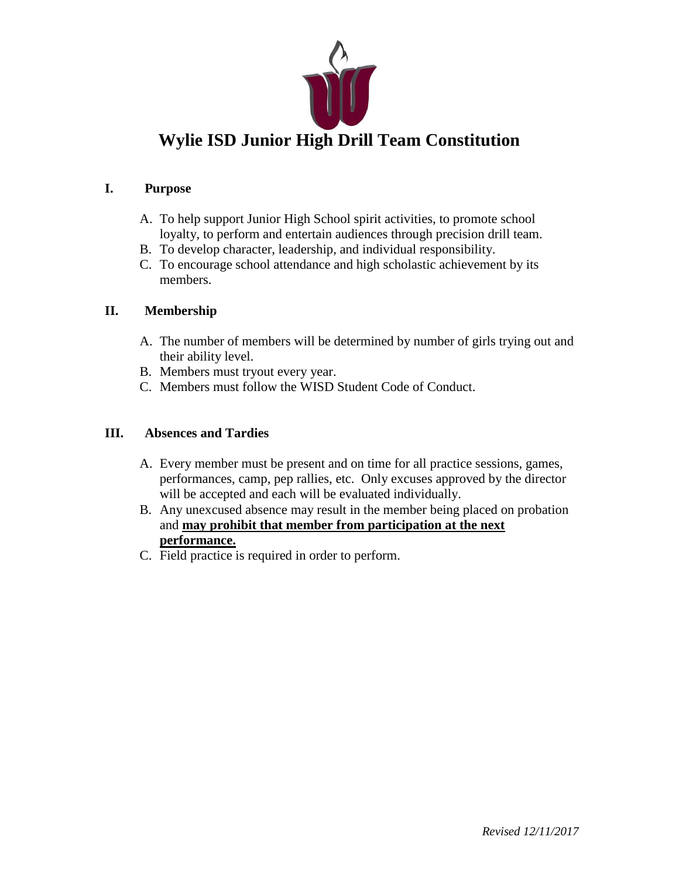

# **Wylie ISD Junior High Drill Team Constitution**

#### **I. Purpose**

- A. To help support Junior High School spirit activities, to promote school loyalty, to perform and entertain audiences through precision drill team.
- B. To develop character, leadership, and individual responsibility.
- C. To encourage school attendance and high scholastic achievement by its members.

#### **II. Membership**

- A. The number of members will be determined by number of girls trying out and their ability level.
- B. Members must tryout every year.
- C. Members must follow the WISD Student Code of Conduct.

#### **III. Absences and Tardies**

- A. Every member must be present and on time for all practice sessions, games, performances, camp, pep rallies, etc. Only excuses approved by the director will be accepted and each will be evaluated individually.
- B. Any unexcused absence may result in the member being placed on probation and **may prohibit that member from participation at the next performance.**
- C. Field practice is required in order to perform.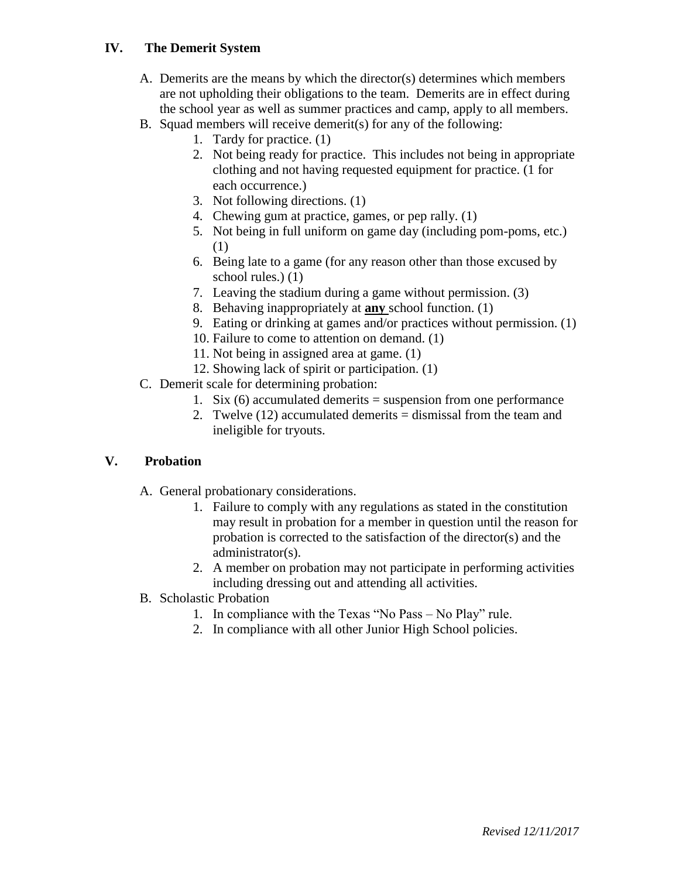## **IV. The Demerit System**

- A. Demerits are the means by which the director(s) determines which members are not upholding their obligations to the team. Demerits are in effect during the school year as well as summer practices and camp, apply to all members.
- B. Squad members will receive demerit(s) for any of the following:
	- 1. Tardy for practice. (1)
		- 2. Not being ready for practice. This includes not being in appropriate clothing and not having requested equipment for practice. (1 for each occurrence.)
		- 3. Not following directions. (1)
		- 4. Chewing gum at practice, games, or pep rally. (1)
		- 5. Not being in full uniform on game day (including pom-poms, etc.) (1)
		- 6. Being late to a game (for any reason other than those excused by school rules.) (1)
		- 7. Leaving the stadium during a game without permission. (3)
		- 8. Behaving inappropriately at **any** school function. (1)
		- 9. Eating or drinking at games and/or practices without permission. (1)
		- 10. Failure to come to attention on demand. (1)
		- 11. Not being in assigned area at game. (1)
		- 12. Showing lack of spirit or participation. (1)
- C. Demerit scale for determining probation:
	- 1. Six  $(6)$  accumulated demerits = suspension from one performance
	- 2. Twelve (12) accumulated demerits = dismissal from the team and ineligible for tryouts.

# **V. Probation**

- A. General probationary considerations.
	- 1. Failure to comply with any regulations as stated in the constitution may result in probation for a member in question until the reason for probation is corrected to the satisfaction of the director(s) and the administrator(s).
	- 2. A member on probation may not participate in performing activities including dressing out and attending all activities.
- B. Scholastic Probation
	- 1. In compliance with the Texas "No Pass No Play" rule.
	- 2. In compliance with all other Junior High School policies.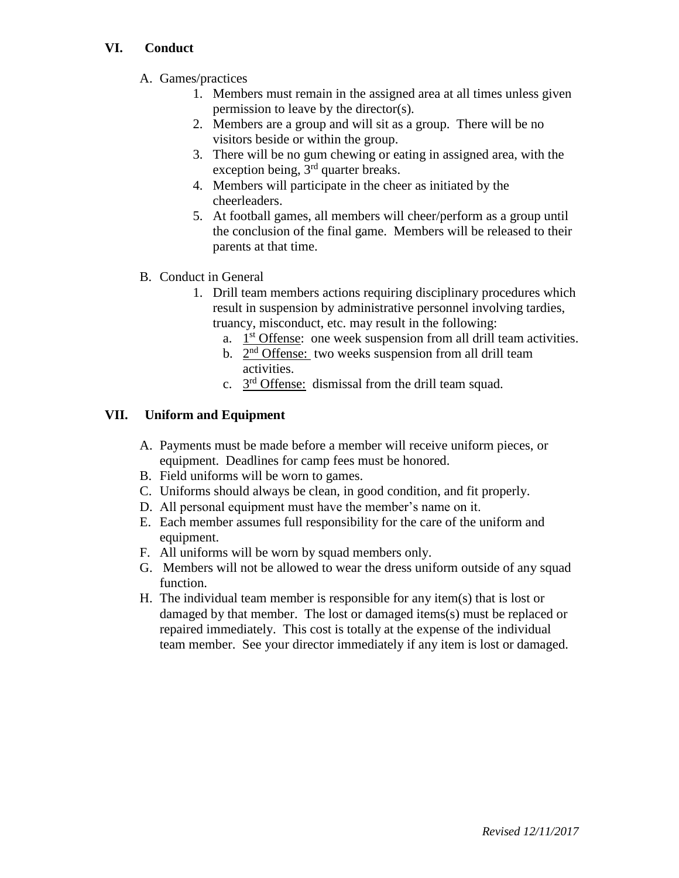## **VI. Conduct**

- A. Games/practices
	- 1. Members must remain in the assigned area at all times unless given permission to leave by the director(s).
	- 2. Members are a group and will sit as a group. There will be no visitors beside or within the group.
	- 3. There will be no gum chewing or eating in assigned area, with the exception being,  $3<sup>rd</sup>$  quarter breaks.
	- 4. Members will participate in the cheer as initiated by the cheerleaders.
	- 5. At football games, all members will cheer/perform as a group until the conclusion of the final game. Members will be released to their parents at that time.
- B. Conduct in General
	- 1. Drill team members actions requiring disciplinary procedures which result in suspension by administrative personnel involving tardies, truancy, misconduct, etc. may result in the following:
		- a.  $1<sup>st</sup>$  Offense: one week suspension from all drill team activities.
		- b.  $2<sup>nd</sup>$  Offense: two weeks suspension from all drill team activities.
		- c.  $3<sup>rd</sup>$  Offense: dismissal from the drill team squad.

# **VII. Uniform and Equipment**

- A. Payments must be made before a member will receive uniform pieces, or equipment. Deadlines for camp fees must be honored.
- B. Field uniforms will be worn to games.
- C. Uniforms should always be clean, in good condition, and fit properly.
- D. All personal equipment must have the member's name on it.
- E. Each member assumes full responsibility for the care of the uniform and equipment.
- F. All uniforms will be worn by squad members only.
- G. Members will not be allowed to wear the dress uniform outside of any squad function.
- H. The individual team member is responsible for any item(s) that is lost or damaged by that member. The lost or damaged items(s) must be replaced or repaired immediately. This cost is totally at the expense of the individual team member. See your director immediately if any item is lost or damaged.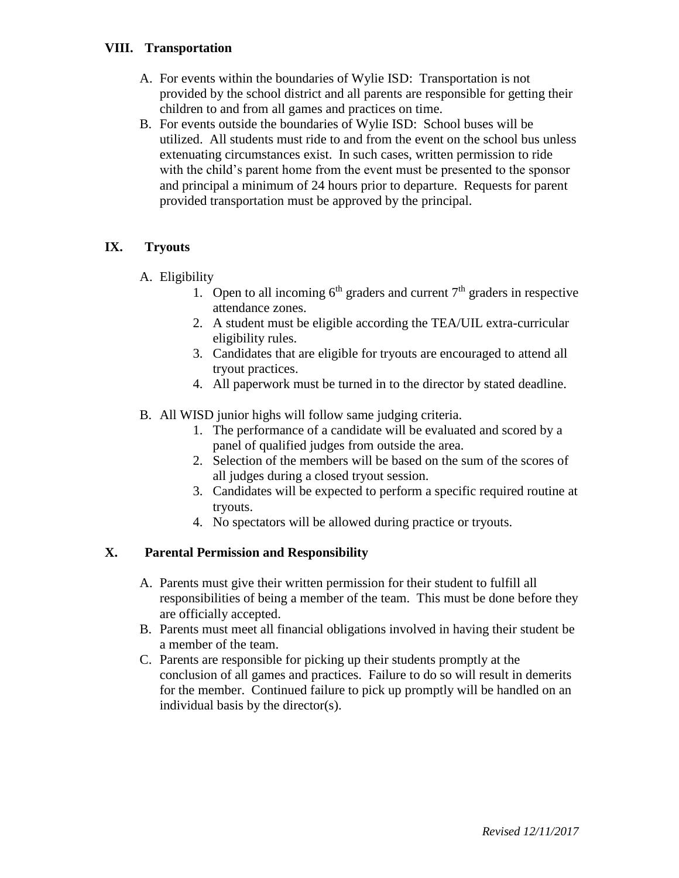## **VIII. Transportation**

- A. For events within the boundaries of Wylie ISD: Transportation is not provided by the school district and all parents are responsible for getting their children to and from all games and practices on time.
- B. For events outside the boundaries of Wylie ISD: School buses will be utilized. All students must ride to and from the event on the school bus unless extenuating circumstances exist. In such cases, written permission to ride with the child's parent home from the event must be presented to the sponsor and principal a minimum of 24 hours prior to departure. Requests for parent provided transportation must be approved by the principal.

#### **IX. Tryouts**

## A. Eligibility

- 1. Open to all incoming  $6<sup>th</sup>$  graders and current  $7<sup>th</sup>$  graders in respective attendance zones.
- 2. A student must be eligible according the TEA/UIL extra-curricular eligibility rules.
- 3. Candidates that are eligible for tryouts are encouraged to attend all tryout practices.
- 4. All paperwork must be turned in to the director by stated deadline.
- B. All WISD junior highs will follow same judging criteria.
	- 1. The performance of a candidate will be evaluated and scored by a panel of qualified judges from outside the area.
	- 2. Selection of the members will be based on the sum of the scores of all judges during a closed tryout session.
	- 3. Candidates will be expected to perform a specific required routine at tryouts.
	- 4. No spectators will be allowed during practice or tryouts.

# **X. Parental Permission and Responsibility**

- A. Parents must give their written permission for their student to fulfill all responsibilities of being a member of the team. This must be done before they are officially accepted.
- B. Parents must meet all financial obligations involved in having their student be a member of the team.
- C. Parents are responsible for picking up their students promptly at the conclusion of all games and practices. Failure to do so will result in demerits for the member. Continued failure to pick up promptly will be handled on an individual basis by the director(s).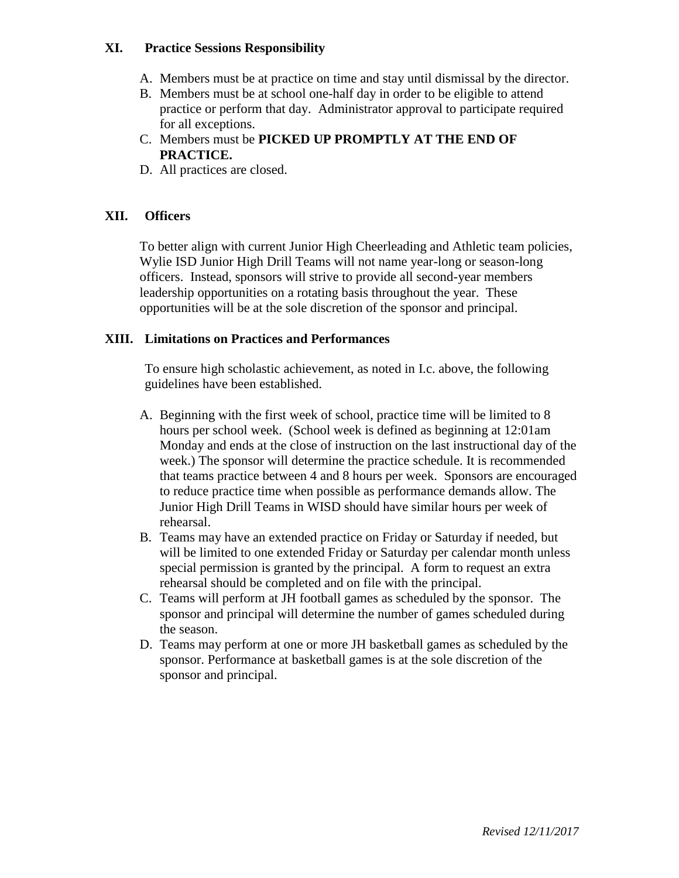#### **XI. Practice Sessions Responsibility**

- A. Members must be at practice on time and stay until dismissal by the director.
- B. Members must be at school one-half day in order to be eligible to attend practice or perform that day. Administrator approval to participate required for all exceptions.
- C. Members must be **PICKED UP PROMPTLY AT THE END OF PRACTICE.**
- D. All practices are closed.

#### **XII. Officers**

To better align with current Junior High Cheerleading and Athletic team policies, Wylie ISD Junior High Drill Teams will not name year-long or season-long officers. Instead, sponsors will strive to provide all second-year members leadership opportunities on a rotating basis throughout the year. These opportunities will be at the sole discretion of the sponsor and principal.

#### **XIII. Limitations on Practices and Performances**

To ensure high scholastic achievement, as noted in I.c. above, the following guidelines have been established.

- A. Beginning with the first week of school, practice time will be limited to 8 hours per school week. (School week is defined as beginning at 12:01am Monday and ends at the close of instruction on the last instructional day of the week.) The sponsor will determine the practice schedule. It is recommended that teams practice between 4 and 8 hours per week. Sponsors are encouraged to reduce practice time when possible as performance demands allow. The Junior High Drill Teams in WISD should have similar hours per week of rehearsal.
- B. Teams may have an extended practice on Friday or Saturday if needed, but will be limited to one extended Friday or Saturday per calendar month unless special permission is granted by the principal. A form to request an extra rehearsal should be completed and on file with the principal.
- C. Teams will perform at JH football games as scheduled by the sponsor. The sponsor and principal will determine the number of games scheduled during the season.
- D. Teams may perform at one or more JH basketball games as scheduled by the sponsor. Performance at basketball games is at the sole discretion of the sponsor and principal.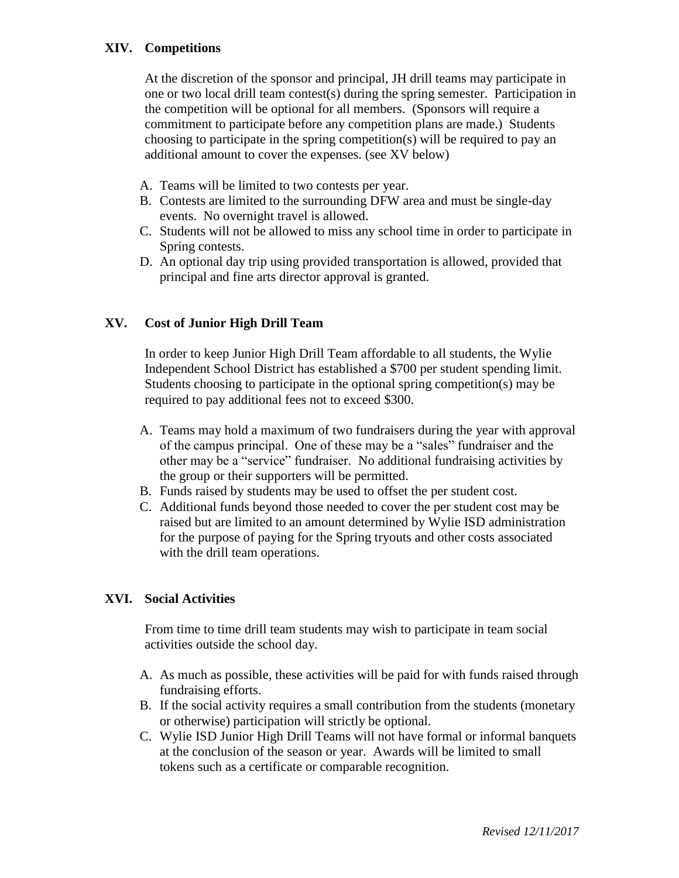## **XIV. Competitions**

At the discretion of the sponsor and principal, JH drill teams may participate in one or two local drill team contest(s) during the spring semester. Participation in the competition will be optional for all members. (Sponsors will require a commitment to participate before any competition plans are made.) Students choosing to participate in the spring competition(s) will be required to pay an additional amount to cover the expenses. (see XV below)

- A. Teams will be limited to two contests per year.
- B. Contests are limited to the surrounding DFW area and must be single-day events. No overnight travel is allowed.
- C. Students will not be allowed to miss any school time in order to participate in Spring contests.
- D. An optional day trip using provided transportation is allowed, provided that principal and fine arts director approval is granted.

## **XV. Cost of Junior High Drill Team**

In order to keep Junior High Drill Team affordable to all students, the Wylie Independent School District has established a \$700 per student spending limit. Students choosing to participate in the optional spring competition(s) may be required to pay additional fees not to exceed \$300.

- A. Teams may hold a maximum of two fundraisers during the year with approval of the campus principal. One of these may be a "sales" fundraiser and the other may be a "service" fundraiser. No additional fundraising activities by the group or their supporters will be permitted.
- B. Funds raised by students may be used to offset the per student cost.
- C. Additional funds beyond those needed to cover the per student cost may be raised but are limited to an amount determined by Wylie ISD administration for the purpose of paying for the Spring tryouts and other costs associated with the drill team operations.

#### **XVI. Social Activities**

From time to time drill team students may wish to participate in team social activities outside the school day.

- A. As much as possible, these activities will be paid for with funds raised through fundraising efforts.
- B. If the social activity requires a small contribution from the students (monetary or otherwise) participation will strictly be optional.
- C. Wylie ISD Junior High Drill Teams will not have formal or informal banquets at the conclusion of the season or year. Awards will be limited to small tokens such as a certificate or comparable recognition.